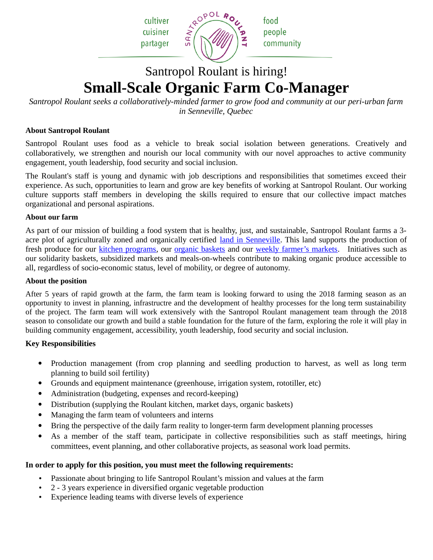cultiver cuisiner partager



# Santropol Roulant is hiring! **Small-Scale Organic Farm Co-Manager**

*Santropol Roulant seeks a collaboratively-minded farmer to grow food and community at our peri-urban farm in Senneville, Quebec*

# **About Santropol Roulant**

Santropol Roulant uses food as a vehicle to break social isolation between generations. Creatively and collaboratively, we strengthen and nourish our local community with our novel approaches to active community engagement, youth leadership, food security and social inclusion.

The Roulant's staff is young and dynamic with job descriptions and responsibilities that sometimes exceed their experience. As such, opportunities to learn and grow are key benefits of working at Santropol Roulant. Our working culture supports staff members in developing the skills required to ensure that our collective impact matches organizational and personal aspirations.

# **About our farm**

As part of our mission of building a food system that is healthy, just, and sustainable, Santropol Roulant farms a 3 acre plot of agriculturally zoned and organically certified [land in Senneville.](http://santropolroulant.org/en/what-is-the-roulant/urban-agriculture/senneville-farm/) This land supports the production of fresh produce for our [kitchen programs,](http://santropolroulant.org/en/what-is-the-roulant/) our [organic baskets](http://santropolroulant.org/en/activities-and-services/organic-baskets/) and our [weekly farmer's markets.](http://santropolroulant.org/en/activities-and-services/farmers-market/) Initiatives such as our solidarity baskets, subsidized markets and meals-on-wheels contribute to making organic produce accessible to all, regardless of socio-economic status, level of mobility, or degree of autonomy.

#### **About the position**

After 5 years of rapid growth at the farm, the farm team is looking forward to using the 2018 farming season as an opportunity to invest in planning, infrastructre and the development of healthy processes for the long term sustainability of the project. The farm team will work extensively with the Santropol Roulant management team through the 2018 season to consolidate our growth and build a stable foundation for the future of the farm, exploring the role it will play in building community engagement, accessibility, youth leadership, food security and social inclusion.

# **Key Responsibilities**

- Production management (from crop planning and seedling production to harvest, as well as long term planning to build soil fertility)
- Grounds and equipment maintenance (greenhouse, irrigation system, rototiller, etc)
- Administration (budgeting, expenses and record-keeping)
- Distribution (supplying the Roulant kitchen, market days, organic baskets)
- Managing the farm team of volunteers and interns
- Bring the perspective of the daily farm reality to longer-term farm development planning processes
- As a member of the staff team, participate in collective responsibilities such as staff meetings, hiring committees, event planning, and other collaborative projects, as seasonal work load permits.

# **In order to apply for this position, you must meet the following requirements:**

- Passionate about bringing to life Santropol Roulant's mission and values at the farm
- 2 3 years experience in diversified organic vegetable production
- Experience leading teams with diverse levels of experience